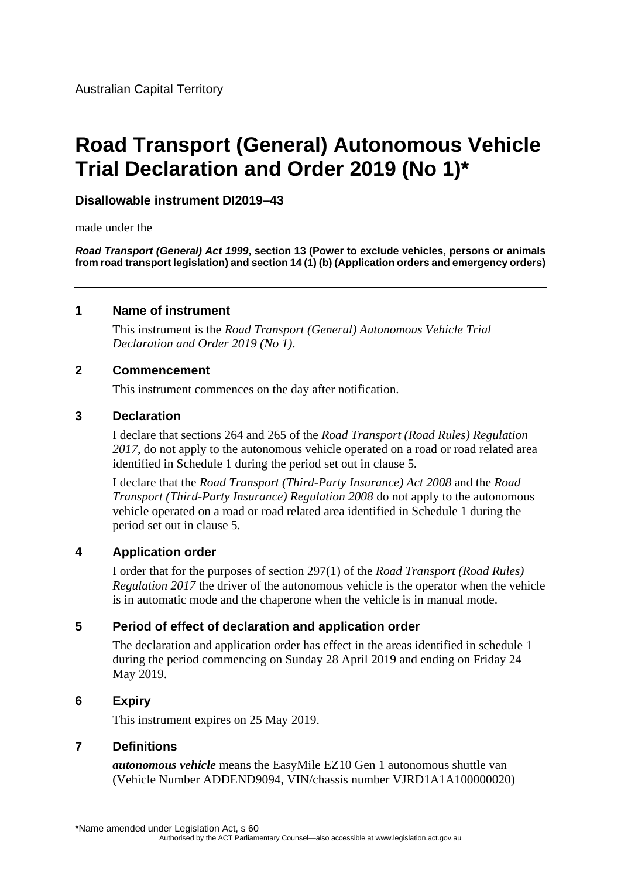# **Road Transport (General) Autonomous Vehicle Trial Declaration and Order 2019 (No 1)\***

# **Disallowable instrument DI2019–43**

made under the

*Road Transport (General) Act 1999***, section 13 (Power to exclude vehicles, persons or animals from road transport legislation) and section 14 (1) (b) (Application orders and emergency orders)**

#### **1 Name of instrument**

This instrument is the *Road Transport (General) Autonomous Vehicle Trial Declaration and Order 2019 (No 1)*.

#### **2 Commencement**

This instrument commences on the day after notification.

#### **3 Declaration**

I declare that sections 264 and 265 of the *Road Transport (Road Rules) Regulation 2017*, do not apply to the autonomous vehicle operated on a road or road related area identified in Schedule 1 during the period set out in clause 5*.*

I declare that the *Road Transport (Third-Party Insurance) Act 2008* and the *Road Transport (Third-Party Insurance) Regulation 2008* do not apply to the autonomous vehicle operated on a road or road related area identified in Schedule 1 during the period set out in clause 5*.*

# **4 Application order**

I order that for the purposes of section 297(1) of the *Road Transport (Road Rules) Regulation 2017* the driver of the autonomous vehicle is the operator when the vehicle is in automatic mode and the chaperone when the vehicle is in manual mode.

# **5 Period of effect of declaration and application order**

The declaration and application order has effect in the areas identified in schedule 1 during the period commencing on Sunday 28 April 2019 and ending on Friday 24 May 2019.

# **6 Expiry**

This instrument expires on 25 May 2019.

# **7 Definitions**

*autonomous vehicle* means the EasyMile EZ10 Gen 1 autonomous shuttle van (Vehicle Number ADDEND9094, VIN/chassis number VJRD1A1A100000020)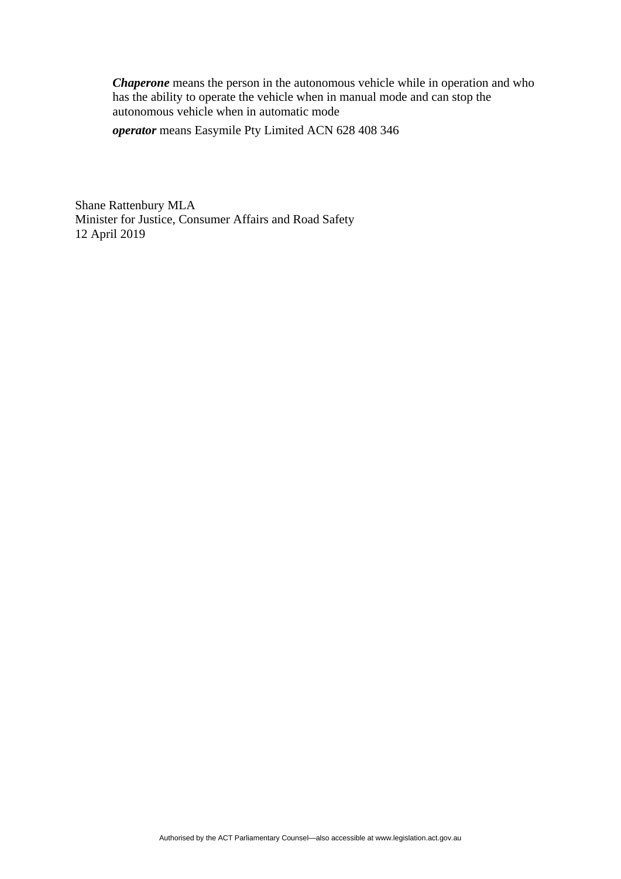*Chaperone* means the person in the autonomous vehicle while in operation and who has the ability to operate the vehicle when in manual mode and can stop the autonomous vehicle when in automatic mode

*operator* means Easymile Pty Limited ACN 628 408 346

Shane Rattenbury MLA Minister for Justice, Consumer Affairs and Road Safety 12 April 2019